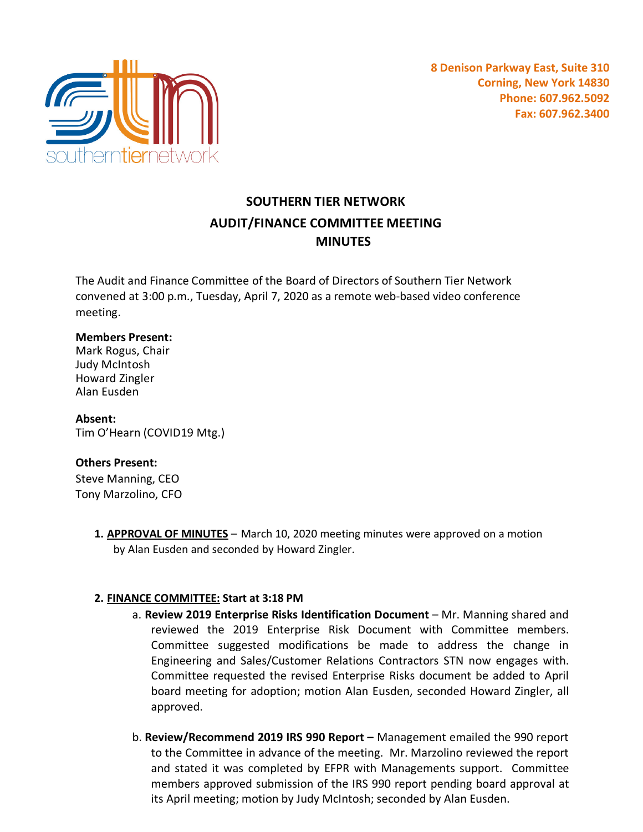

# **SOUTHERN TIER NETWORK AUDIT/FINANCE COMMITTEE MEETING MINUTES**

The Audit and Finance Committee of the Board of Directors of Southern Tier Network convened at 3:00 p.m., Tuesday, April 7, 2020 as a remote web-based video conference meeting.

### **Members Present:**

Mark Rogus, Chair Judy McIntosh Howard Zingler Alan Eusden

**Absent:** Tim O'Hearn (COVID19 Mtg.)

#### **Others Present:**

Steve Manning, CEO Tony Marzolino, CFO

> **1. APPROVAL OF MINUTES** – March 10, 2020 meeting minutes were approved on a motion by Alan Eusden and seconded by Howard Zingler.

## **2. FINANCE COMMITTEE: Start at 3:18 PM**

- a. **Review 2019 Enterprise Risks Identification Document** Mr. Manning shared and reviewed the 2019 Enterprise Risk Document with Committee members. Committee suggested modifications be made to address the change in Engineering and Sales/Customer Relations Contractors STN now engages with. Committee requested the revised Enterprise Risks document be added to April board meeting for adoption; motion Alan Eusden, seconded Howard Zingler, all approved.
- b. **Review/Recommend 2019 IRS 990 Report –** Management emailed the 990 report to the Committee in advance of the meeting. Mr. Marzolino reviewed the report and stated it was completed by EFPR with Managements support. Committee members approved submission of the IRS 990 report pending board approval at its April meeting; motion by Judy McIntosh; seconded by Alan Eusden.